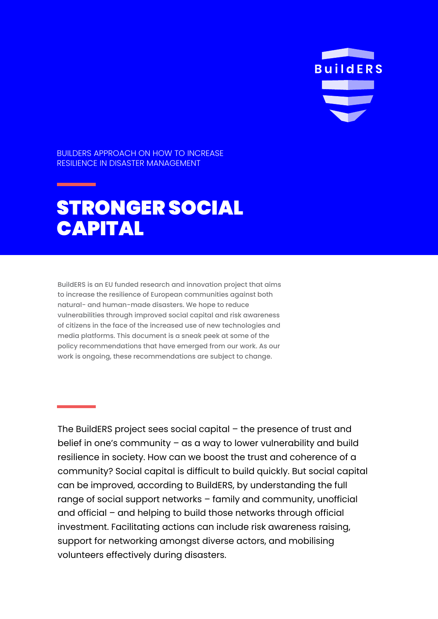

BUILDERS APPROACH ON HOW TO INCREASE RESILIENCE IN DISASTER MANAGEMENT

## STRONGER SOCIAL CAPITAL

BuildERS is an EU funded research and innovation project that aims to increase the resilience of European communities against both natural- and human-made disasters. We hope to reduce vulnerabilities through improved social capital and risk awareness of citizens in the face of the increased use of new technologies and media platforms. This document is a sneak peek at some of the policy recommendations that have emerged from our work. As our work is ongoing, these recommendations are subject to change.

The BuildERS project sees social capital – the presence of trust and belief in one's community – as a way to lower vulnerability and build resilience in society. How can we boost the trust and coherence of a community? Social capital is difficult to build quickly. But social capital can be improved, according to BuildERS, by understanding the full range of social support networks – family and community, unofficial and official – and helping to build those networks through official investment. Facilitating actions can include risk awareness raising, support for networking amongst diverse actors, and mobilising volunteers effectively during disasters.